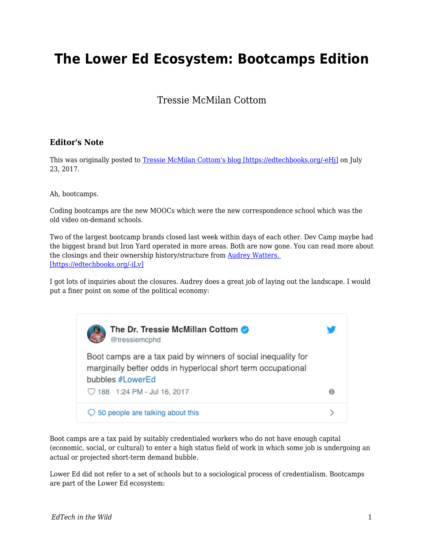## **The Lower Ed Ecosystem: Bootcamps Edition**

## Tressie McMilan Cottom

## **Editor's Note**

This was originally posted to [Tressie McMilan Cottom's blog \[https://edtechbooks.org/-eHj\]](http://tressiemc.com/uncategorized/the-lower-ed-ecosystem-bootcamps-edition/) on July 23, 2017.

Ah, bootcamps.

Coding bootcamps are the new MOOCs which were the new correspondence school which was the old video on-demand schools.

Two of the largest bootcamp brands closed last week within days of each other. Dev Camp maybe had the biggest brand but Iron Yard operated in more areas. Both are now gone. You can read more about the closings and their ownership history/structure from **Audrey Watters.** [\[https://edtechbooks.org/-iLv\]](http://hackeducation.com/2017/07/22/bootcamp-bust)

I got lots of inquiries about the closures. Audrey does a great job of laying out the landscape. I would put a finer point on some of the political economy:



Boot camps are a tax paid by suitably credentialed workers who do not have enough capital (economic, social, or cultural) to enter a high status field of work in which some job is undergoing an actual or projected short-term demand bubble.

Lower Ed did not refer to a set of schools but to a sociological process of credentialism. Bootcamps are part of the Lower Ed ecosystem: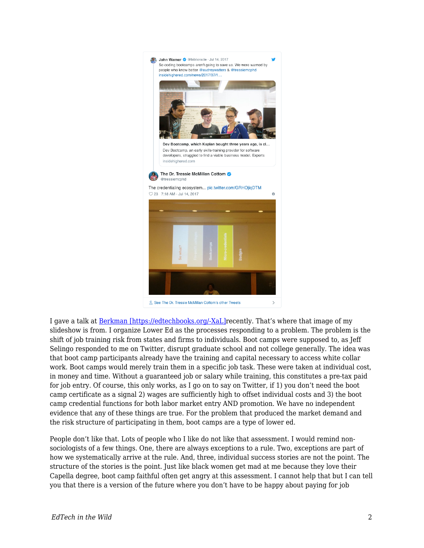

I gave a talk at [Berkman \[https://edtechbooks.org/-XaL\]](https://www.youtube.com/playlist?list=PLhIcwCeItnZf9jbTvF4jJDX5WiF1SOJZr)recently. That's where that image of my slideshow is from. I organize Lower Ed as the processes responding to a problem. The problem is the shift of job training risk from states and firms to individuals. Boot camps were supposed to, as Jeff Selingo responded to me on Twitter, disrupt graduate school and not college generally. The idea was that boot camp participants already have the training and capital necessary to access white collar work. Boot camps would merely train them in a specific job task. These were taken at individual cost, in money and time. Without a guaranteed job or salary while training, this constitutes a pre-tax paid for job entry. Of course, this only works, as I go on to say on Twitter, if 1) you don't need the boot camp certificate as a signal 2) wages are sufficiently high to offset individual costs and 3) the boot camp credential functions for both labor market entry AND promotion. We have no independent evidence that any of these things are true. For the problem that produced the market demand and the risk structure of participating in them, boot camps are a type of lower ed.

People don't like that. Lots of people who I like do not like that assessment. I would remind nonsociologists of a few things. One, there are always exceptions to a rule. Two, exceptions are part of how we systematically arrive at the rule. And, three, individual success stories are not the point. The structure of the stories is the point. Just like black women get mad at me because they love their Capella degree, boot camp faithful often get angry at this assessment. I cannot help that but I can tell you that there is a version of the future where you don't have to be happy about paying for job